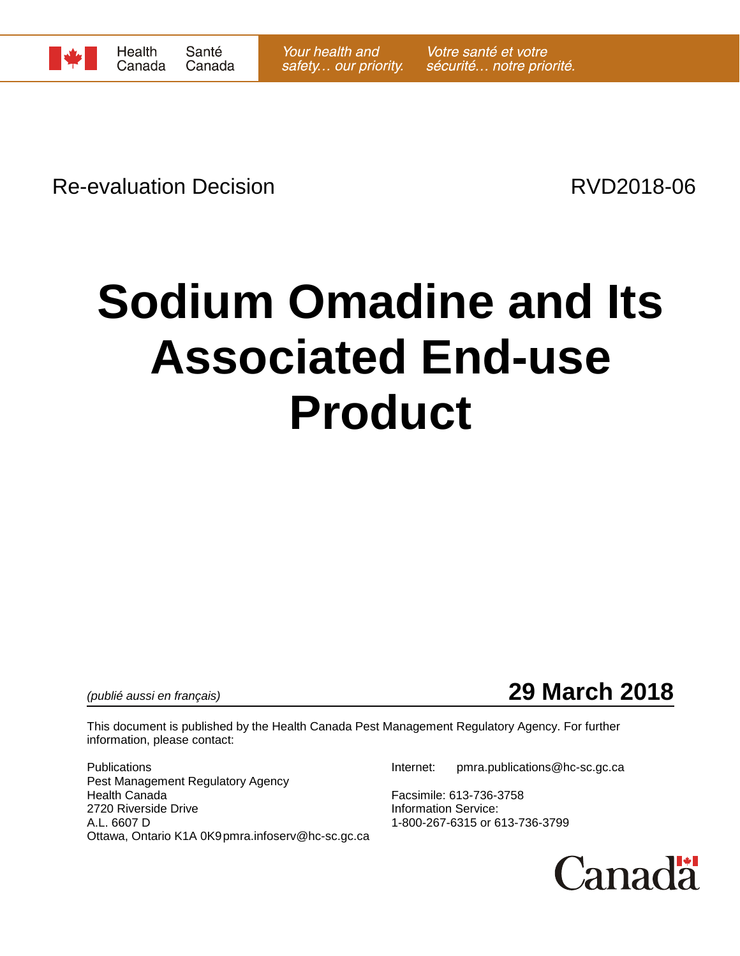

Re-evaluation Decision **Re-evaluation** Decision

# **Sodium Omadine and Its Associated End-use Product**

*(publié aussi en français)* **29 March 2018**

This document is published by the Health Canada Pest Management Regulatory Agency. For further information, please contact:

Publications Internet: pmra.publications@hc-sc.gc.ca Pest Management Regulatory Agency Health Canada<br>
2720 Riverside Drive<br>
2720 Riverside Drive<br>
10 The Magnus Muslim Carolina Carolina Carolina Carolina Carolina Carolina Carolina Carolina Carolina Carolina<br>
2720 Riverside Drive 2720 Riverside Drive<br>A.L. 6607 D Ottawa, Ontario K1A 0K9pmra.infoserv@hc-sc.gc.ca

1-800-267-6315 or 613-736-3799

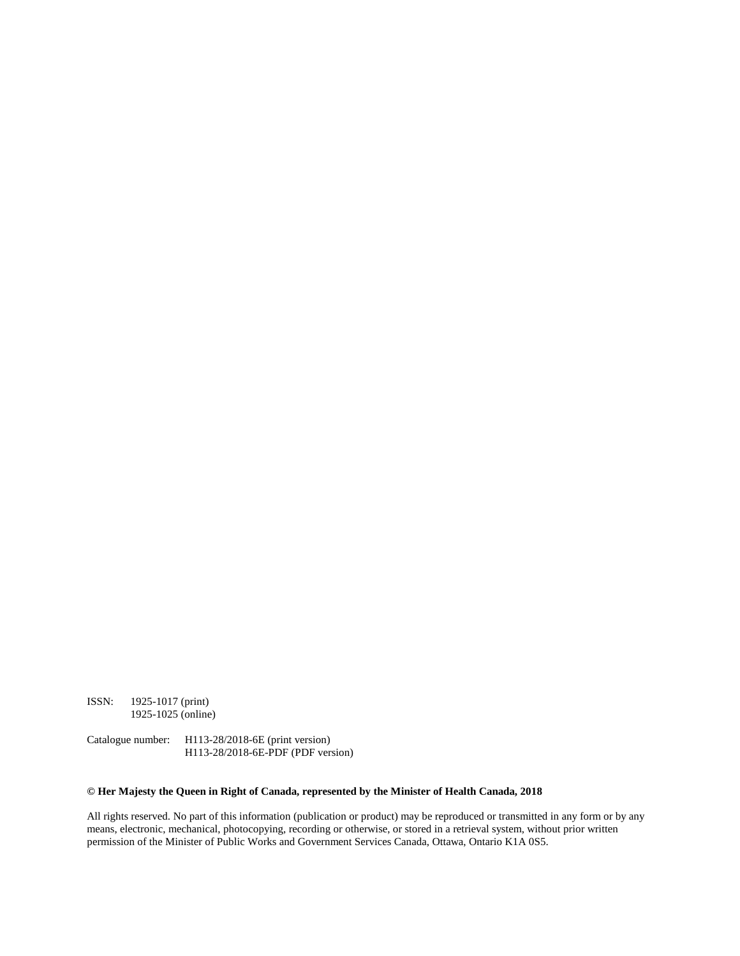ISSN: 1925-1017 (print) 1925-1025 (online)

Catalogue number: H113-28/2018-6E (print version) H113-28/2018-6E-PDF (PDF version)

#### **© Her Majesty the Queen in Right of Canada, represented by the Minister of Health Canada, 2018**

All rights reserved. No part of this information (publication or product) may be reproduced or transmitted in any form or by any means, electronic, mechanical, photocopying, recording or otherwise, or stored in a retrieval system, without prior written permission of the Minister of Public Works and Government Services Canada, Ottawa, Ontario K1A 0S5.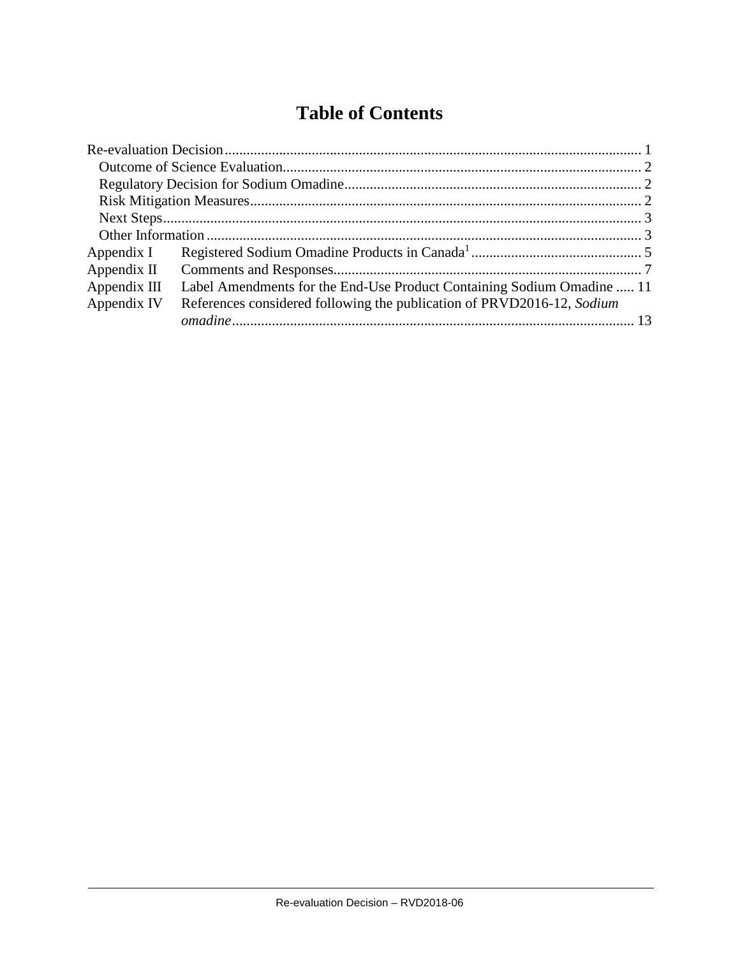## **Table of Contents**

| Appendix I    |                                                                        |  |  |
|---------------|------------------------------------------------------------------------|--|--|
| Appendix $II$ |                                                                        |  |  |
| Appendix III  | Label Amendments for the End-Use Product Containing Sodium Omadine  11 |  |  |
| Appendix IV   | References considered following the publication of PRVD2016-12, Sodium |  |  |
|               |                                                                        |  |  |

 $\mathbf{I}$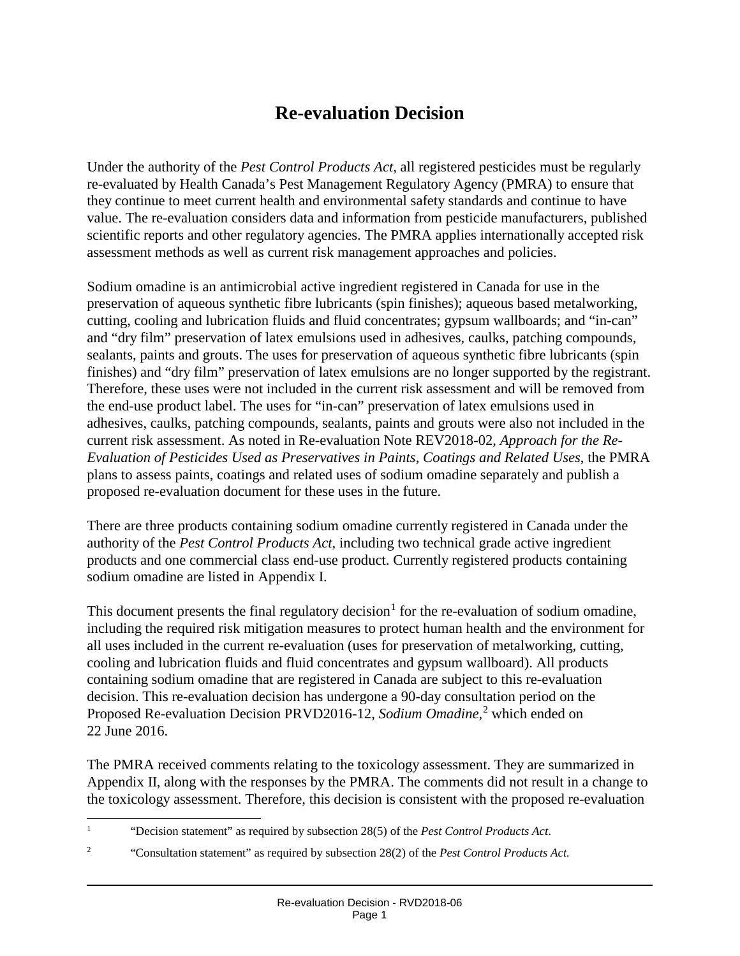## **Re-evaluation Decision**

Under the authority of the *Pest Control Products Act,* all registered pesticides must be regularly re-evaluated by Health Canada's Pest Management Regulatory Agency (PMRA) to ensure that they continue to meet current health and environmental safety standards and continue to have value. The re-evaluation considers data and information from pesticide manufacturers, published scientific reports and other regulatory agencies. The PMRA applies internationally accepted risk assessment methods as well as current risk management approaches and policies.

Sodium omadine is an antimicrobial active ingredient registered in Canada for use in the preservation of aqueous synthetic fibre lubricants (spin finishes); aqueous based metalworking, cutting, cooling and lubrication fluids and fluid concentrates; gypsum wallboards; and "in-can" and "dry film" preservation of latex emulsions used in adhesives, caulks, patching compounds, sealants, paints and grouts. The uses for preservation of aqueous synthetic fibre lubricants (spin finishes) and "dry film" preservation of latex emulsions are no longer supported by the registrant. Therefore, these uses were not included in the current risk assessment and will be removed from the end-use product label. The uses for "in-can" preservation of latex emulsions used in adhesives, caulks, patching compounds, sealants, paints and grouts were also not included in the current risk assessment. As noted in Re-evaluation Note REV2018-02, *Approach for the Re-Evaluation of Pesticides Used as Preservatives in Paints, Coatings and Related Uses*, the PMRA plans to assess paints, coatings and related uses of sodium omadine separately and publish a proposed re-evaluation document for these uses in the future.

There are three products containing sodium omadine currently registered in Canada under the authority of the *Pest Control Products Act*, including two technical grade active ingredient products and one commercial class end-use product. Currently registered products containing sodium omadine are listed in Appendix I.

This document presents the final regulatory decision<sup>[1](#page-3-0)</sup> for the re-evaluation of sodium omadine, including the required risk mitigation measures to protect human health and the environment for all uses included in the current re-evaluation (uses for preservation of metalworking, cutting, cooling and lubrication fluids and fluid concentrates and gypsum wallboard). All products containing sodium omadine that are registered in Canada are subject to this re-evaluation decision. This re-evaluation decision has undergone a 90-day consultation period on the Proposed Re-evaluation Decision PRVD2016-12, *Sodium Omadine*, [2](#page-3-1) which ended on 22 June 2016.

The PMRA received comments relating to the toxicology assessment. They are summarized in Appendix II, along with the responses by the PMRA. The comments did not result in a change to the toxicology assessment. Therefore, this decision is consistent with the proposed re-evaluation

<span id="page-3-0"></span><sup>&</sup>lt;sup>1</sup> "Decision statement" as required by subsection 28(5) of the *Pest Control Products Act*.

<span id="page-3-1"></span><sup>2</sup> "Consultation statement" as required by subsection 28(2) of the *Pest Control Products Act.*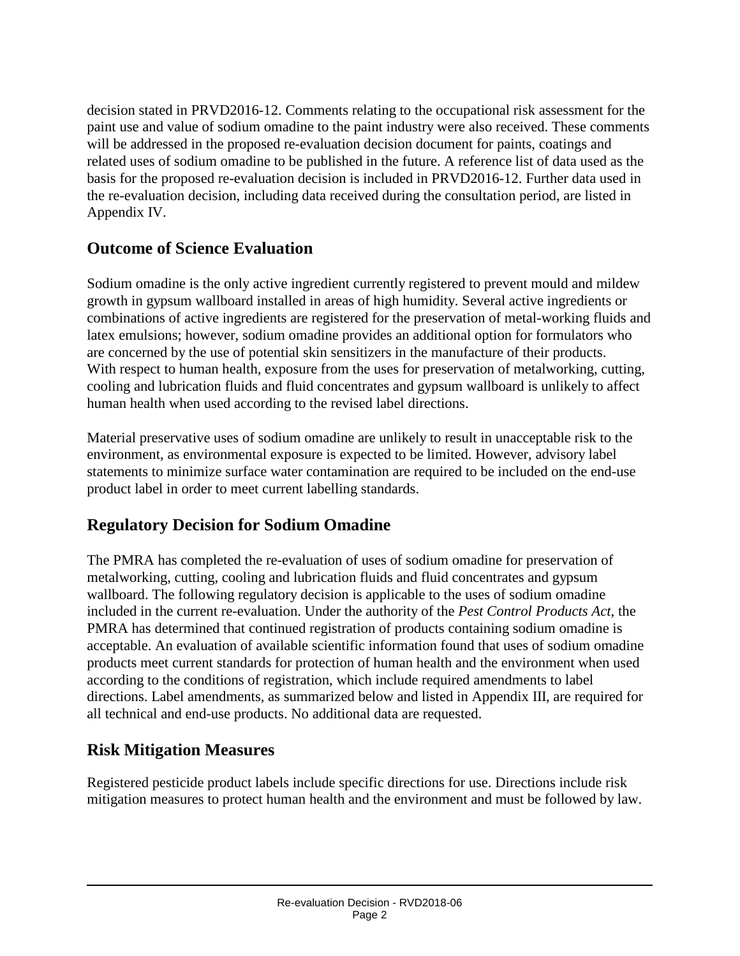decision stated in PRVD2016-12. Comments relating to the occupational risk assessment for the paint use and value of sodium omadine to the paint industry were also received. These comments will be addressed in the proposed re-evaluation decision document for paints, coatings and related uses of sodium omadine to be published in the future. A reference list of data used as the basis for the proposed re-evaluation decision is included in PRVD2016-12. Further data used in the re-evaluation decision, including data received during the consultation period, are listed in Appendix IV.

#### **Outcome of Science Evaluation**

Sodium omadine is the only active ingredient currently registered to prevent mould and mildew growth in gypsum wallboard installed in areas of high humidity. Several active ingredients or combinations of active ingredients are registered for the preservation of metal-working fluids and latex emulsions; however, sodium omadine provides an additional option for formulators who are concerned by the use of potential skin sensitizers in the manufacture of their products. With respect to human health, exposure from the uses for preservation of metalworking, cutting, cooling and lubrication fluids and fluid concentrates and gypsum wallboard is unlikely to affect human health when used according to the revised label directions.

Material preservative uses of sodium omadine are unlikely to result in unacceptable risk to the environment, as environmental exposure is expected to be limited. However, advisory label statements to minimize surface water contamination are required to be included on the end-use product label in order to meet current labelling standards.

#### **Regulatory Decision for Sodium Omadine**

The PMRA has completed the re-evaluation of uses of sodium omadine for preservation of metalworking, cutting, cooling and lubrication fluids and fluid concentrates and gypsum wallboard. The following regulatory decision is applicable to the uses of sodium omadine included in the current re-evaluation. Under the authority of the *Pest Control Products Act*, the PMRA has determined that continued registration of products containing sodium omadine is acceptable. An evaluation of available scientific information found that uses of sodium omadine products meet current standards for protection of human health and the environment when used according to the conditions of registration, which include required amendments to label directions. Label amendments, as summarized below and listed in Appendix III, are required for all technical and end-use products. No additional data are requested.

#### **Risk Mitigation Measures**

Registered pesticide product labels include specific directions for use. Directions include risk mitigation measures to protect human health and the environment and must be followed by law.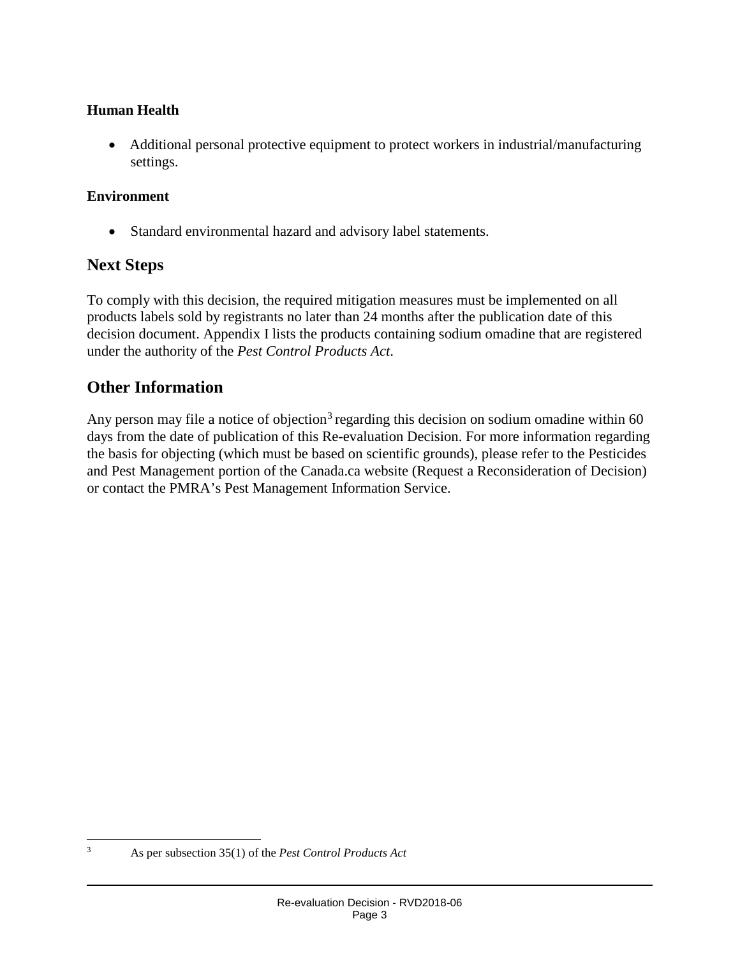#### **Human Health**

• Additional personal protective equipment to protect workers in industrial/manufacturing settings.

#### **Environment**

• Standard environmental hazard and advisory label statements.

#### **Next Steps**

To comply with this decision, the required mitigation measures must be implemented on all products labels sold by registrants no later than 24 months after the publication date of this decision document. Appendix I lists the products containing sodium omadine that are registered under the authority of the *Pest Control Products Act*.

### **Other Information**

Any person may file a notice of objection<sup>[3](#page-5-0)</sup> regarding this decision on sodium omadine within 60 days from the date of publication of this Re-evaluation Decision. For more information regarding the basis for objecting (which must be based on scientific grounds), please refer to the Pesticides and Pest Management portion of the Canada.ca website (Request a Reconsideration of Decision) or contact the PMRA's Pest Management Information Service.

<span id="page-5-0"></span>

 <sup>3</sup> As per subsection 35(1) of the *Pest Control Products Act*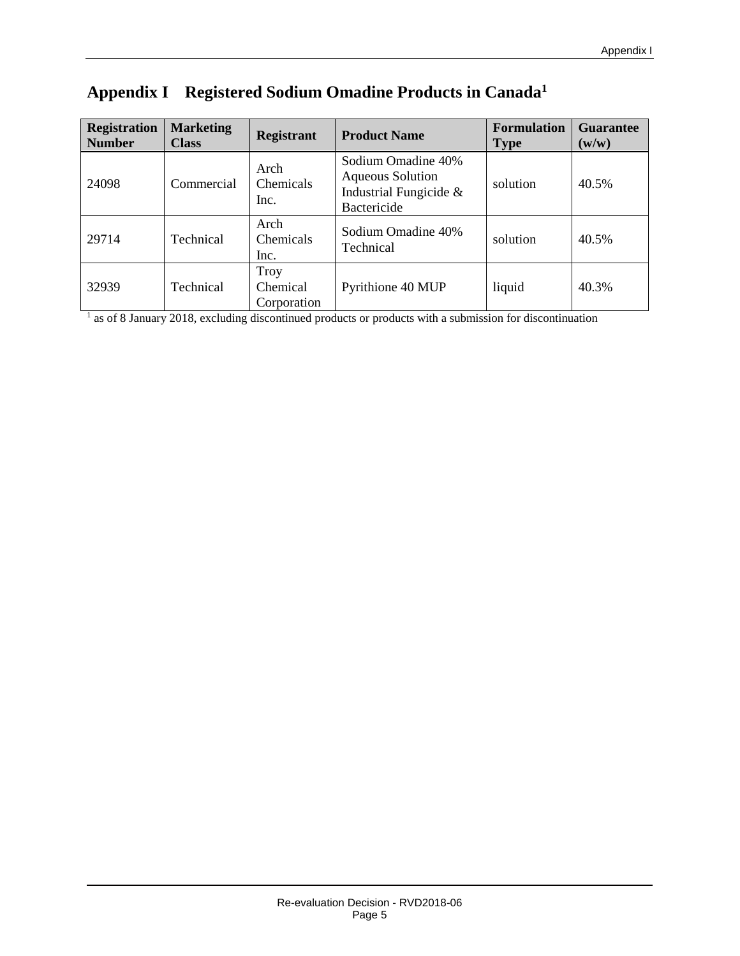| <b>Registration</b><br><b>Number</b> | <b>Marketing</b><br><b>Class</b> | <b>Registrant</b>                      | <b>Product Name</b>                                                                    | <b>Formulation</b><br><b>Type</b> | <b>Guarantee</b><br>(w/w) |
|--------------------------------------|----------------------------------|----------------------------------------|----------------------------------------------------------------------------------------|-----------------------------------|---------------------------|
| 24098                                | Commercial                       | Arch<br><b>Chemicals</b><br>Inc.       | Sodium Omadine 40%<br><b>Aqueous Solution</b><br>Industrial Fungicide &<br>Bactericide | solution                          | 40.5%                     |
| 29714                                | Technical                        | Arch<br>Chemicals<br>Inc.              | Sodium Omadine 40%<br>Technical                                                        | solution                          | 40.5%                     |
| 32939                                | Technical                        | <b>Troy</b><br>Chemical<br>Corporation | Pyrithione 40 MUP                                                                      | liquid                            | 40.3%                     |

## **Appendix I Registered Sodium Omadine Products in Canada1**

<sup>1</sup> as of 8 January 2018, excluding discontinued products or products with a submission for discontinuation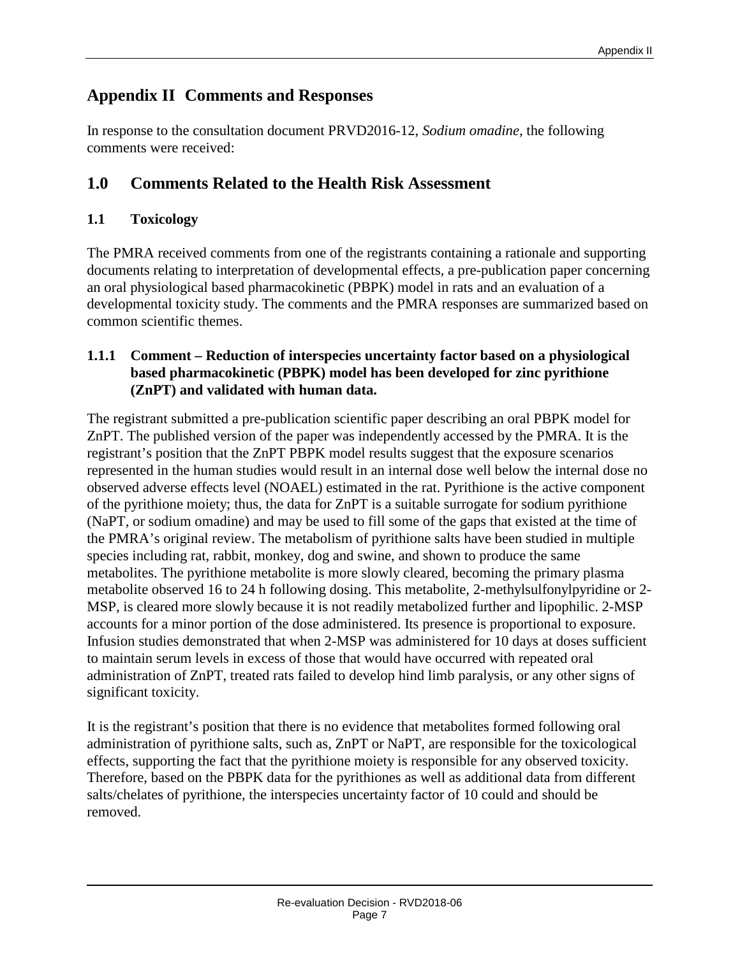### **Appendix II Comments and Responses**

In response to the consultation document PRVD2016-12, *Sodium omadine,* the following comments were received:

#### **1.0 Comments Related to the Health Risk Assessment**

#### **1.1 Toxicology**

The PMRA received comments from one of the registrants containing a rationale and supporting documents relating to interpretation of developmental effects, a pre-publication paper concerning an oral physiological based pharmacokinetic (PBPK) model in rats and an evaluation of a developmental toxicity study. The comments and the PMRA responses are summarized based on common scientific themes.

#### **1.1.1 Comment – Reduction of interspecies uncertainty factor based on a physiological based pharmacokinetic (PBPK) model has been developed for zinc pyrithione (ZnPT) and validated with human data.**

The registrant submitted a pre-publication scientific paper describing an oral PBPK model for ZnPT. The published version of the paper was independently accessed by the PMRA. It is the registrant's position that the ZnPT PBPK model results suggest that the exposure scenarios represented in the human studies would result in an internal dose well below the internal dose no observed adverse effects level (NOAEL) estimated in the rat. Pyrithione is the active component of the pyrithione moiety; thus, the data for ZnPT is a suitable surrogate for sodium pyrithione (NaPT, or sodium omadine) and may be used to fill some of the gaps that existed at the time of the PMRA's original review. The metabolism of pyrithione salts have been studied in multiple species including rat, rabbit, monkey, dog and swine, and shown to produce the same metabolites. The pyrithione metabolite is more slowly cleared, becoming the primary plasma metabolite observed 16 to 24 h following dosing. This metabolite, 2-methylsulfonylpyridine or 2- MSP, is cleared more slowly because it is not readily metabolized further and lipophilic. 2-MSP accounts for a minor portion of the dose administered. Its presence is proportional to exposure. Infusion studies demonstrated that when 2-MSP was administered for 10 days at doses sufficient to maintain serum levels in excess of those that would have occurred with repeated oral administration of ZnPT, treated rats failed to develop hind limb paralysis, or any other signs of significant toxicity.

It is the registrant's position that there is no evidence that metabolites formed following oral administration of pyrithione salts, such as, ZnPT or NaPT, are responsible for the toxicological effects, supporting the fact that the pyrithione moiety is responsible for any observed toxicity. Therefore, based on the PBPK data for the pyrithiones as well as additional data from different salts/chelates of pyrithione, the interspecies uncertainty factor of 10 could and should be removed.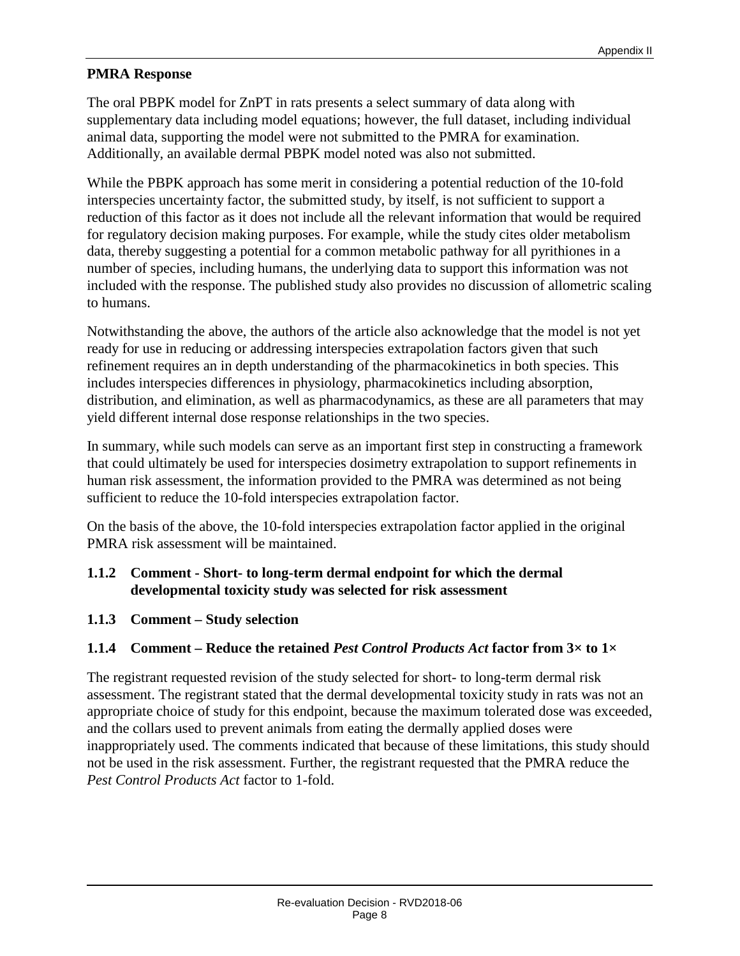#### **PMRA Response**

The oral PBPK model for ZnPT in rats presents a select summary of data along with supplementary data including model equations; however, the full dataset, including individual animal data, supporting the model were not submitted to the PMRA for examination. Additionally, an available dermal PBPK model noted was also not submitted.

While the PBPK approach has some merit in considering a potential reduction of the 10-fold interspecies uncertainty factor, the submitted study, by itself, is not sufficient to support a reduction of this factor as it does not include all the relevant information that would be required for regulatory decision making purposes. For example, while the study cites older metabolism data, thereby suggesting a potential for a common metabolic pathway for all pyrithiones in a number of species, including humans, the underlying data to support this information was not included with the response. The published study also provides no discussion of allometric scaling to humans.

Notwithstanding the above, the authors of the article also acknowledge that the model is not yet ready for use in reducing or addressing interspecies extrapolation factors given that such refinement requires an in depth understanding of the pharmacokinetics in both species. This includes interspecies differences in physiology, pharmacokinetics including absorption, distribution, and elimination, as well as pharmacodynamics, as these are all parameters that may yield different internal dose response relationships in the two species.

In summary, while such models can serve as an important first step in constructing a framework that could ultimately be used for interspecies dosimetry extrapolation to support refinements in human risk assessment, the information provided to the PMRA was determined as not being sufficient to reduce the 10-fold interspecies extrapolation factor.

On the basis of the above, the 10-fold interspecies extrapolation factor applied in the original PMRA risk assessment will be maintained.

#### **1.1.2 Comment - Short- to long-term dermal endpoint for which the dermal developmental toxicity study was selected for risk assessment**

**1.1.3 Comment – Study selection**

#### **1.1.4 Comment – Reduce the retained** *Pest Control Products Act* **factor from 3× to 1×**

The registrant requested revision of the study selected for short- to long-term dermal risk assessment. The registrant stated that the dermal developmental toxicity study in rats was not an appropriate choice of study for this endpoint, because the maximum tolerated dose was exceeded, and the collars used to prevent animals from eating the dermally applied doses were inappropriately used. The comments indicated that because of these limitations, this study should not be used in the risk assessment. Further, the registrant requested that the PMRA reduce the *Pest Control Products Act* factor to 1-fold.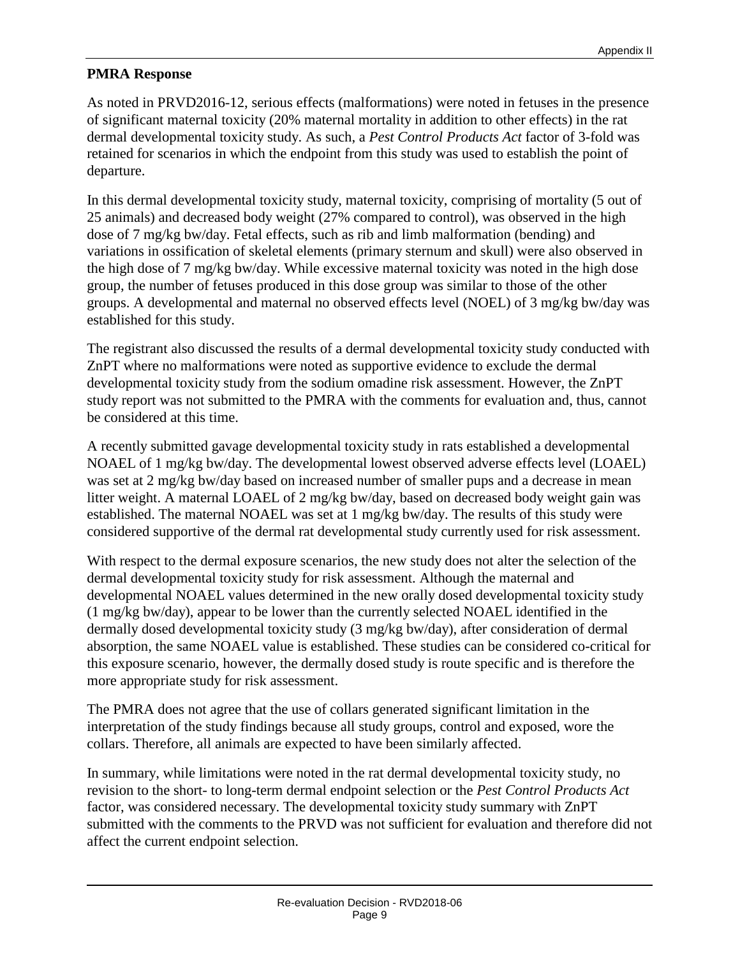#### **PMRA Response**

As noted in PRVD2016-12, serious effects (malformations) were noted in fetuses in the presence of significant maternal toxicity (20% maternal mortality in addition to other effects) in the rat dermal developmental toxicity study. As such, a *Pest Control Products Act* factor of 3-fold was retained for scenarios in which the endpoint from this study was used to establish the point of departure.

In this dermal developmental toxicity study, maternal toxicity, comprising of mortality (5 out of 25 animals) and decreased body weight (27% compared to control), was observed in the high dose of 7 mg/kg bw/day. Fetal effects, such as rib and limb malformation (bending) and variations in ossification of skeletal elements (primary sternum and skull) were also observed in the high dose of 7 mg/kg bw/day. While excessive maternal toxicity was noted in the high dose group, the number of fetuses produced in this dose group was similar to those of the other groups. A developmental and maternal no observed effects level (NOEL) of 3 mg/kg bw/day was established for this study.

The registrant also discussed the results of a dermal developmental toxicity study conducted with ZnPT where no malformations were noted as supportive evidence to exclude the dermal developmental toxicity study from the sodium omadine risk assessment. However, the ZnPT study report was not submitted to the PMRA with the comments for evaluation and, thus, cannot be considered at this time.

A recently submitted gavage developmental toxicity study in rats established a developmental NOAEL of 1 mg/kg bw/day. The developmental lowest observed adverse effects level (LOAEL) was set at 2 mg/kg bw/day based on increased number of smaller pups and a decrease in mean litter weight. A maternal LOAEL of 2 mg/kg bw/day, based on decreased body weight gain was established. The maternal NOAEL was set at 1 mg/kg bw/day. The results of this study were considered supportive of the dermal rat developmental study currently used for risk assessment.

With respect to the dermal exposure scenarios, the new study does not alter the selection of the dermal developmental toxicity study for risk assessment. Although the maternal and developmental NOAEL values determined in the new orally dosed developmental toxicity study (1 mg/kg bw/day), appear to be lower than the currently selected NOAEL identified in the dermally dosed developmental toxicity study (3 mg/kg bw/day), after consideration of dermal absorption, the same NOAEL value is established. These studies can be considered co-critical for this exposure scenario, however, the dermally dosed study is route specific and is therefore the more appropriate study for risk assessment.

The PMRA does not agree that the use of collars generated significant limitation in the interpretation of the study findings because all study groups, control and exposed, wore the collars. Therefore, all animals are expected to have been similarly affected.

In summary, while limitations were noted in the rat dermal developmental toxicity study, no revision to the short- to long-term dermal endpoint selection or the *Pest Control Products Act* factor, was considered necessary. The developmental toxicity study summary with ZnPT submitted with the comments to the PRVD was not sufficient for evaluation and therefore did not affect the current endpoint selection.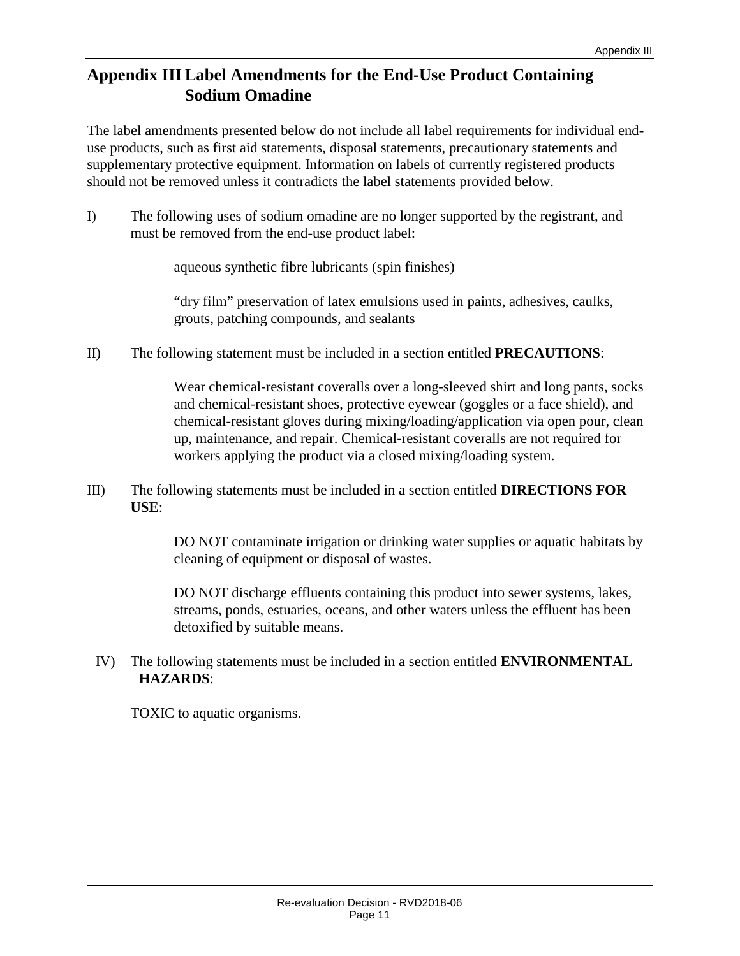#### **Appendix III Label Amendments for the End-Use Product Containing Sodium Omadine**

The label amendments presented below do not include all label requirements for individual enduse products, such as first aid statements, disposal statements, precautionary statements and supplementary protective equipment. Information on labels of currently registered products should not be removed unless it contradicts the label statements provided below.

I) The following uses of sodium omadine are no longer supported by the registrant, and must be removed from the end-use product label:

aqueous synthetic fibre lubricants (spin finishes)

"dry film" preservation of latex emulsions used in paints, adhesives, caulks, grouts, patching compounds, and sealants

II) The following statement must be included in a section entitled **PRECAUTIONS**:

Wear chemical-resistant coveralls over a long-sleeved shirt and long pants, socks and chemical-resistant shoes, protective eyewear (goggles or a face shield), and chemical-resistant gloves during mixing/loading/application via open pour, clean up, maintenance, and repair. Chemical-resistant coveralls are not required for workers applying the product via a closed mixing/loading system.

III) The following statements must be included in a section entitled **DIRECTIONS FOR USE**:

> DO NOT contaminate irrigation or drinking water supplies or aquatic habitats by cleaning of equipment or disposal of wastes.

DO NOT discharge effluents containing this product into sewer systems, lakes, streams, ponds, estuaries, oceans, and other waters unless the effluent has been detoxified by suitable means.

IV) The following statements must be included in a section entitled **ENVIRONMENTAL HAZARDS**:

TOXIC to aquatic organisms.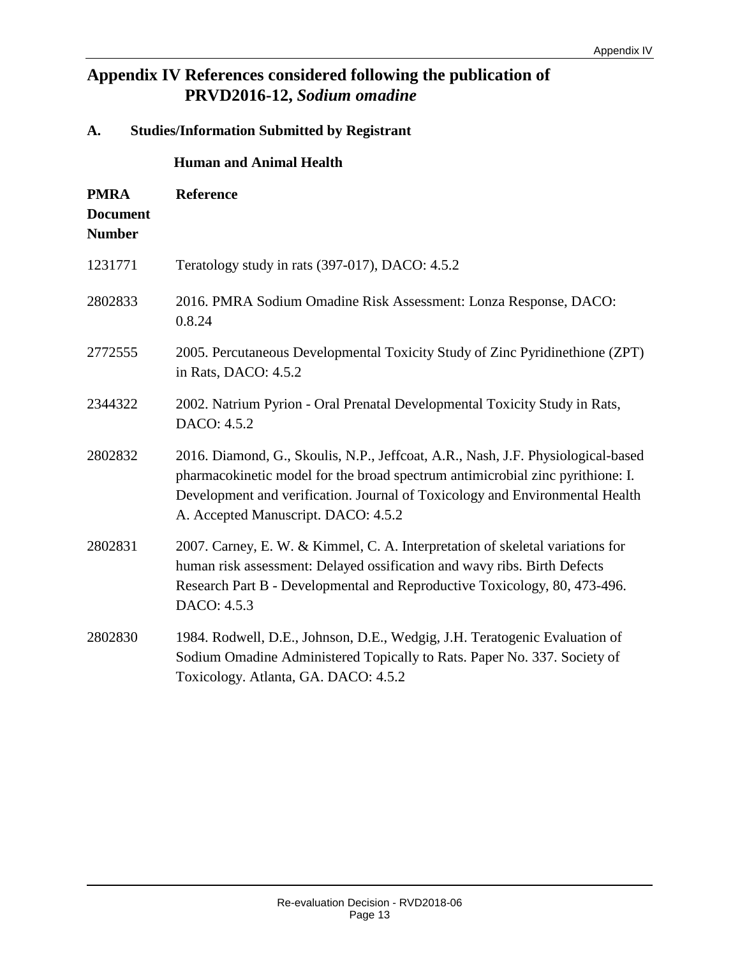#### **Appendix IV References considered following the publication of PRVD2016-12,** *Sodium omadine*

## **A. Studies/Information Submitted by Registrant Human and Animal Health PMRA Document Number Reference** 1231771 Teratology study in rats (397-017), DACO: 4.5.2 2802833 2016. PMRA Sodium Omadine Risk Assessment: Lonza Response, DACO: 0.8.24 2772555 2005. Percutaneous Developmental Toxicity Study of Zinc Pyridinethione (ZPT) in Rats, DACO: 4.5.2 2344322 2002. Natrium Pyrion - Oral Prenatal Developmental Toxicity Study in Rats, DACO: 4.5.2 2802832 2016. Diamond, G., Skoulis, N.P., Jeffcoat, A.R., Nash, J.F. Physiological-based pharmacokinetic model for the broad spectrum antimicrobial zinc pyrithione: I. Development and verification. Journal of Toxicology and Environmental Health A. Accepted Manuscript. DACO: 4.5.2 2802831 2007. Carney, E. W. & Kimmel, C. A. Interpretation of skeletal variations for human risk assessment: Delayed ossification and wavy ribs. Birth Defects Research Part B - Developmental and Reproductive Toxicology, 80, 473-496. DACO: 4.5.3 2802830 1984. Rodwell, D.E., Johnson, D.E., Wedgig, J.H. Teratogenic Evaluation of Sodium Omadine Administered Topically to Rats. Paper No. 337. Society of Toxicology. Atlanta, GA. DACO: 4.5.2